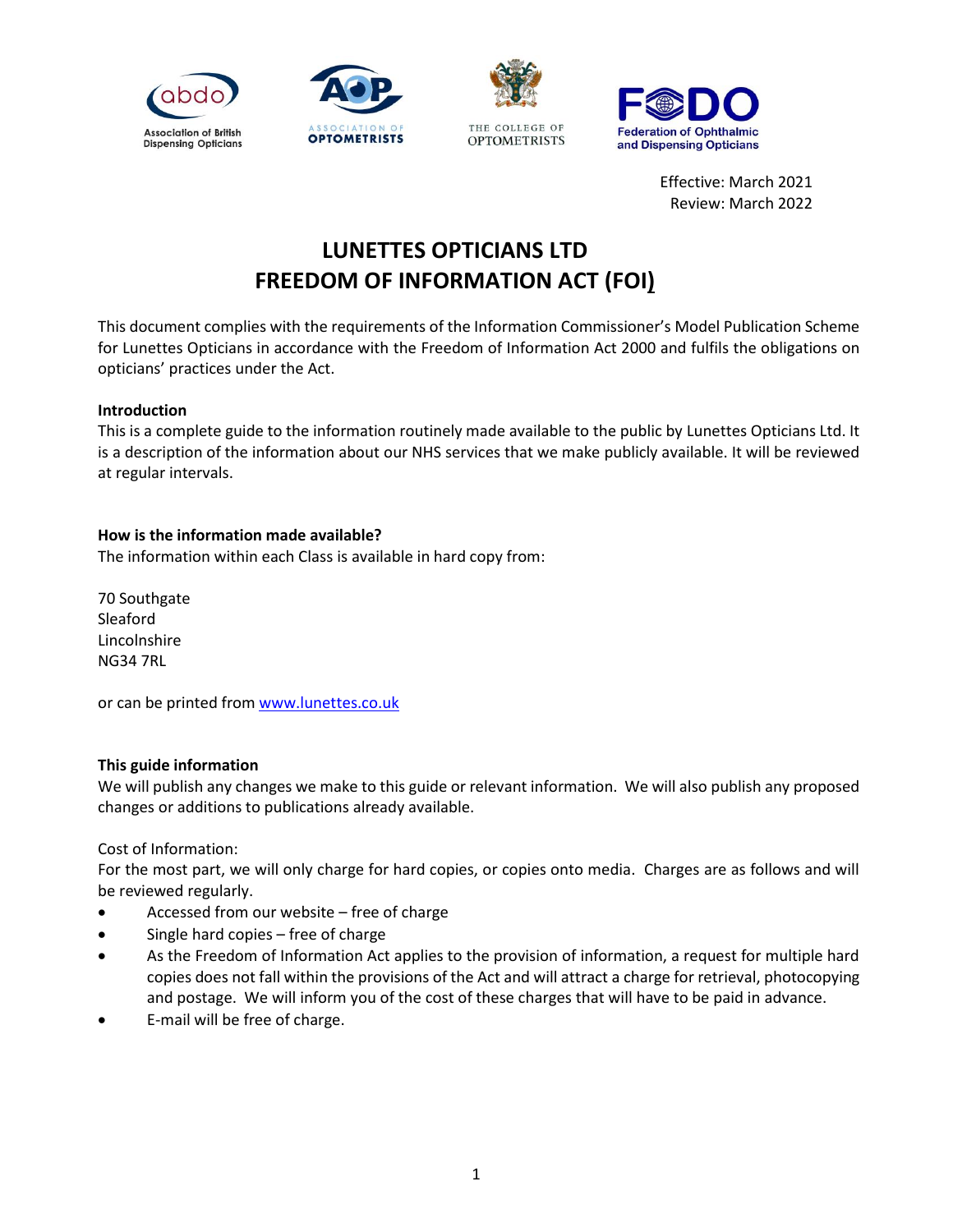

**Federation of Ophthalmic** and Dispensing Opticians

> Effective: March 2021 Review: March 2022

# **LUNETTES OPTICIANS LTD FREEDOM OF INFORMATION ACT (FOI)**

This document complies with the requirements of the Information Commissioner's Model Publication Scheme for Lunettes Opticians in accordance with the Freedom of Information Act 2000 and fulfils the obligations on opticians' practices under the Act.

## **Introduction**

This is a complete guide to the information routinely made available to the public by Lunettes Opticians Ltd. It is a description of the information about our NHS services that we make publicly available. It will be reviewed at regular intervals.

## **How is the information made available?**

The information within each Class is available in hard copy from:

70 Southgate Sleaford Lincolnshire NG34 7RL

or can be printed fro[m www.lunettes.co.uk](http://www.lunettes.co.uk/)

## **This guide information**

We will publish any changes we make to this guide or relevant information. We will also publish any proposed changes or additions to publications already available.

Cost of Information:

For the most part, we will only charge for hard copies, or copies onto media. Charges are as follows and will be reviewed regularly.

- Accessed from our website free of charge
- Single hard copies free of charge
- As the Freedom of Information Act applies to the provision of information, a request for multiple hard copies does not fall within the provisions of the Act and will attract a charge for retrieval, photocopying and postage. We will inform you of the cost of these charges that will have to be paid in advance.
- E-mail will be free of charge.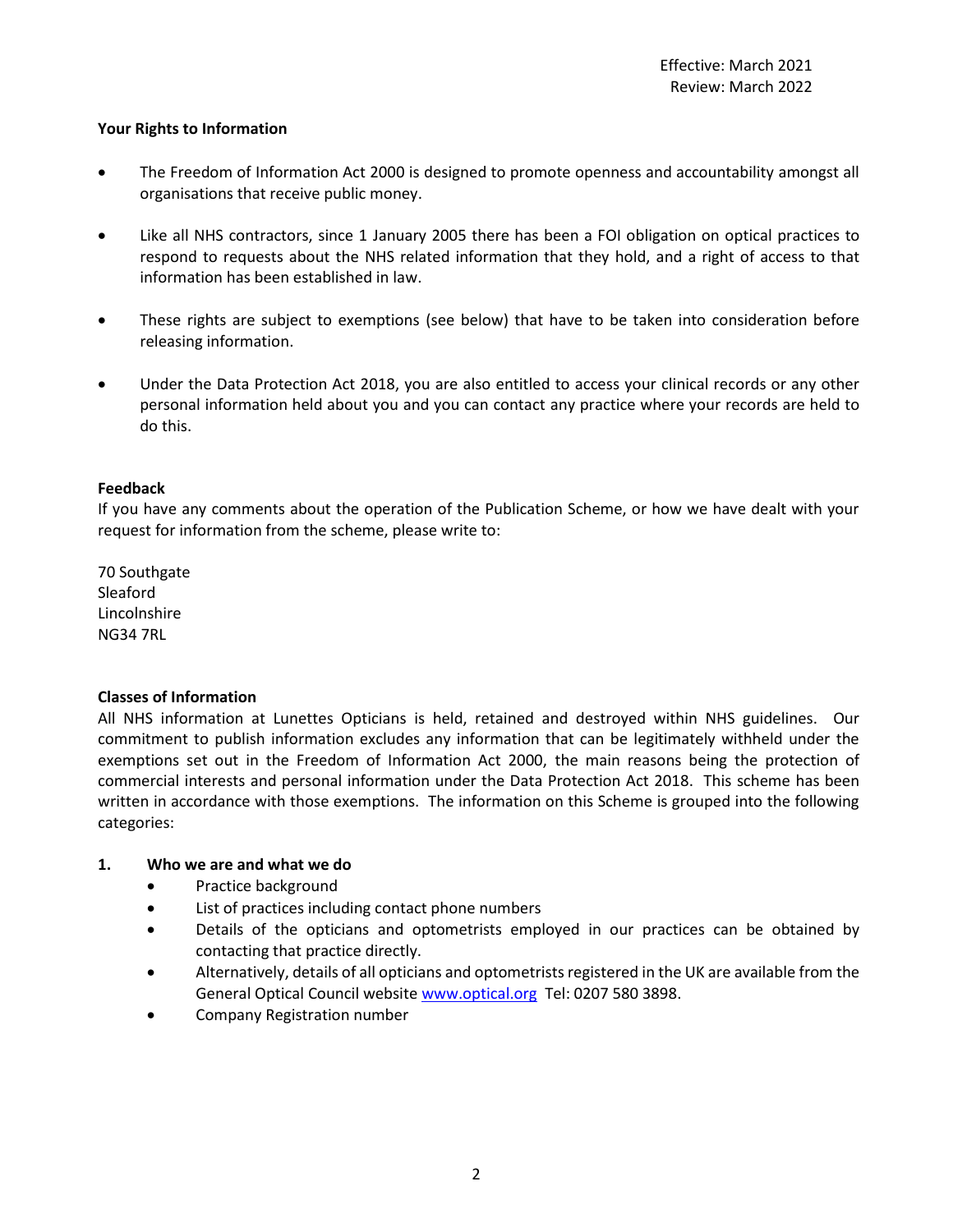## **Your Rights to Information**

- The Freedom of Information Act 2000 is designed to promote openness and accountability amongst all organisations that receive public money.
- Like all NHS contractors, since 1 January 2005 there has been a FOI obligation on optical practices to respond to requests about the NHS related information that they hold, and a right of access to that information has been established in law.
- These rights are subject to exemptions (see below) that have to be taken into consideration before releasing information.
- Under the Data Protection Act 2018, you are also entitled to access your clinical records or any other personal information held about you and you can contact any practice where your records are held to do this.

## **Feedback**

If you have any comments about the operation of the Publication Scheme, or how we have dealt with your request for information from the scheme, please write to:

70 Southgate Sleaford Lincolnshire NG34 7RL

## **Classes of Information**

All NHS information at Lunettes Opticians is held, retained and destroyed within NHS guidelines. Our commitment to publish information excludes any information that can be legitimately withheld under the exemptions set out in the Freedom of Information Act 2000, the main reasons being the protection of commercial interests and personal information under the Data Protection Act 2018. This scheme has been written in accordance with those exemptions. The information on this Scheme is grouped into the following categories:

## **1. Who we are and what we do**

- Practice background
- List of practices including contact phone numbers
- Details of the opticians and optometrists employed in our practices can be obtained by contacting that practice directly.
- Alternatively, details of all opticians and optometrists registered in the UK are available from the General Optical Council website [www.optical.org](http://www.optical.org/) Tel: 0207 580 3898.
- Company Registration number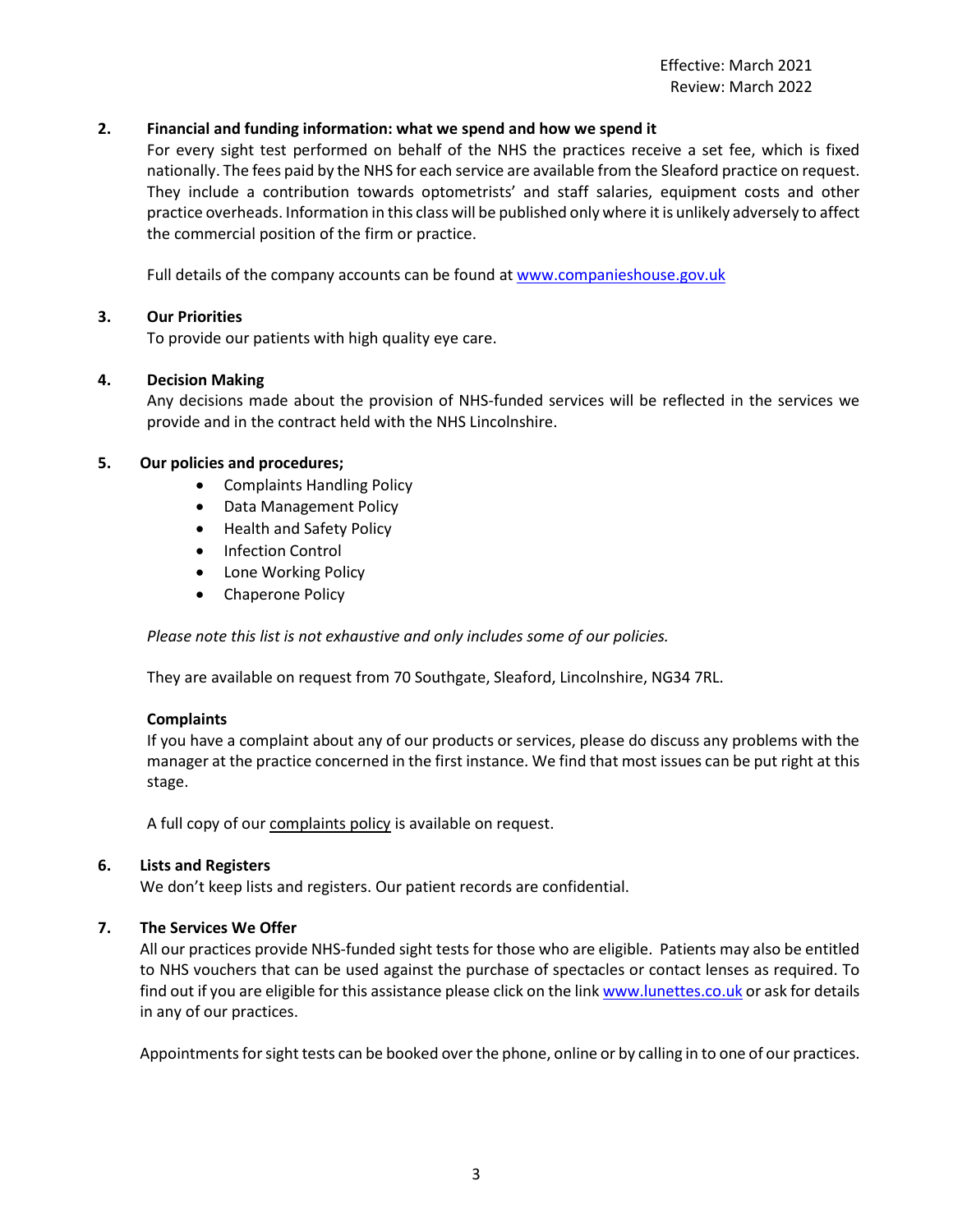## **2. Financial and funding information: what we spend and how we spend it**

For every sight test performed on behalf of the NHS the practices receive a set fee, which is fixed nationally. The fees paid by the NHS for each service are available from the Sleaford practice on request. They include a contribution towards optometrists' and staff salaries, equipment costs and other practice overheads. Information in this class will be published only where it is unlikely adversely to affect the commercial position of the firm or practice.

Full details of the company accounts can be found at [www.companieshouse.gov.uk](http://www.companieshouse.gov.uk/)

## **3. Our Priorities**

To provide our patients with high quality eye care.

## **4. Decision Making**

Any decisions made about the provision of NHS-funded services will be reflected in the services we provide and in the contract held with the NHS Lincolnshire.

## **5. Our policies and procedures;**

- Complaints Handling Policy
- Data Management Policy
- Health and Safety Policy
- Infection Control
- Lone Working Policy
- Chaperone Policy

*Please note this list is not exhaustive and only includes some of our policies.*

They are available on request from 70 Southgate, Sleaford, Lincolnshire, NG34 7RL.

## **Complaints**

If you have a complaint about any of our products or services, please do discuss any problems with the manager at the practice concerned in the first instance. We find that most issues can be put right at this stage.

A full copy of our complaints policy is available on request.

## **6. Lists and Registers**

We don't keep lists and registers. Our patient records are confidential.

## **7. The Services We Offer**

All our practices provide NHS-funded sight tests for those who are eligible. Patients may also be entitled to NHS vouchers that can be used against the purchase of spectacles or contact lenses as required. To find out if you are eligible for this assistance please click on the lin[k www.lunettes.co.uk](http://www.lunettes.co.uk/) or ask for details in any of our practices.

Appointments for sight tests can be booked over the phone, online or by calling in to one of our practices.